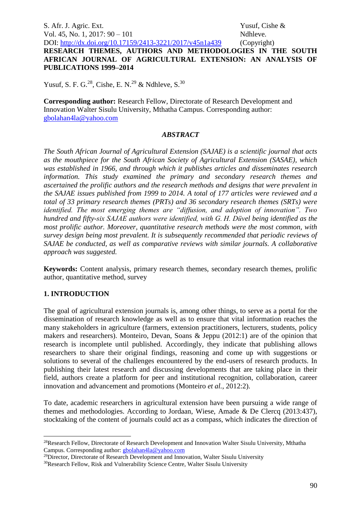# **RESEARCH THEMES, AUTHORS AND METHODOLOGIES IN THE SOUTH AFRICAN JOURNAL OF AGRICULTURAL EXTENSION: AN ANALYSIS OF PUBLICATIONS 1999–2014**

Yusuf, S. F. G.<sup>28</sup>, Cishe, E. N.<sup>29</sup> & Ndhleve, S.<sup>30</sup>

**Corresponding author:** Research Fellow, Directorate of Research Development and Innovation Walter Sisulu University, Mthatha Campus. Corresponding author: [gbolahan4la@yahoo.com](mailto:gbolahan4la@yahoo.com)

## *ABSTRACT*

*The South African Journal of Agricultural Extension (SAJAE) is a scientific journal that acts as the mouthpiece for the South African Society of Agricultural Extension (SASAE), which was established in 1966, and through which it publishes articles and disseminates research information. This study examined the primary and secondary research themes and ascertained the prolific authors and the research methods and designs that were prevalent in the SAJAE issues published from 1999 to 2014. A total of 177 articles were reviewed and a total of 33 primary research themes (PRTs) and 36 secondary research themes (SRTs) were identified. The most emerging themes are "diffusion, and adoption of innovation". Two hundred and fifty-six SAJAE authors were identified, with G. H. Düvel being identified as the most prolific author. Moreover, quantitative research methods were the most common, with survey design being most prevalent. It is subsequently recommended that periodic reviews of SAJAE be conducted, as well as comparative reviews with similar journals. A collaborative approach was suggested.*

**Keywords:** Content analysis, primary research themes, secondary research themes, prolific author, quantitative method, survey

# **1. INTRODUCTION**

1

The goal of agricultural extension journals is, among other things, to serve as a portal for the dissemination of research knowledge as well as to ensure that vital information reaches the many stakeholders in agriculture (farmers, extension practitioners, lecturers, students, policy makers and researchers). Monteiro, Devan, Soans & Jeppu (2012:1) are of the opinion that research is incomplete until published. Accordingly, they indicate that publishing allows researchers to share their original findings, reasoning and come up with suggestions or solutions to several of the challenges encountered by the end-users of research products. In publishing their latest research and discussing developments that are taking place in their field, authors create a platform for peer and institutional recognition, collaboration, career innovation and advancement and promotions (Monteiro *et al.*, 2012:2).

To date, academic researchers in agricultural extension have been pursuing a wide range of themes and methodologies. According to Jordaan, Wiese, Amade & De Clercq (2013:437), stocktaking of the content of journals could act as a compass, which indicates the direction of

<sup>28</sup>Research Fellow, Directorate of Research Development and Innovation Walter Sisulu University, Mthatha Campus. Corresponding author: [gbolahan4la@yahoo.com](mailto:gbolahan4la@yahoo.com)

<sup>&</sup>lt;sup>29</sup>Director, Directorate of Research Development and Innovation, Walter Sisulu University

<sup>30</sup>Research Fellow, Risk and Vulnerability Science Centre, Walter Sisulu University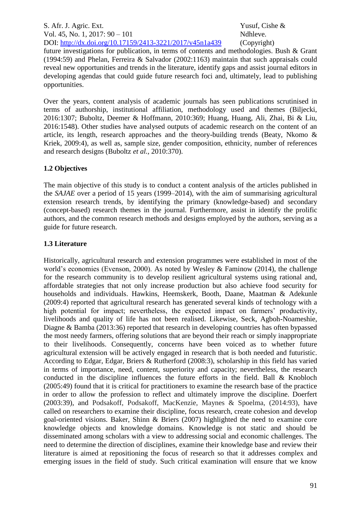future investigations for publication, in terms of contents and methodologies. Bush & Grant (1994:59) and Phelan, Ferreira & Salvador (2002:1163) maintain that such appraisals could reveal new opportunities and trends in the literature, identify gaps and assist journal editors in developing agendas that could guide future research foci and, ultimately, lead to publishing opportunities.

Over the years, content analysis of academic journals has seen publications scrutinised in terms of authorship, institutional affiliation, methodology used and themes (Biljecki, 2016:1307; Buboltz, Deemer & Hoffmann, 2010:369; Huang, Huang, Ali, Zhai, Bi & Liu, 2016:1548). Other studies have analysed outputs of academic research on the content of an article, its length, research approaches and the theory-building trends (Beaty, Nkomo & Kriek, 2009:4), as well as, sample size, gender composition, ethnicity, number of references and research designs (Buboltz *et al.,* 2010:370).

## **1.2 Objectives**

The main objective of this study is to conduct a content analysis of the articles published in the *SAJAE* over a period of 15 years (1999–2014), with the aim of summarising agricultural extension research trends, by identifying the primary (knowledge-based) and secondary (concept-based) research themes in the journal. Furthermore, assist in identify the prolific authors, and the common research methods and designs employed by the authors, serving as a guide for future research.

## **1.3 Literature**

Historically, agricultural research and extension programmes were established in most of the world's economies (Evenson, 2000). As noted by Wesley & Faminow (2014), the challenge for the research community is to develop resilient agricultural systems using rational and, affordable strategies that not only increase production but also achieve food security for households and individuals. Hawkins, Heemskerk, Booth, Daane, Maatman & Adekunle (2009:4) reported that agricultural research has generated several kinds of technology with a high potential for impact; nevertheless, the expected impact on farmers' productivity, livelihoods and quality of life has not been realised. Likewise, Seck, Agboh-Noameshie, Diagne & Bamba (2013:36) reported that research in developing countries has often bypassed the most needy farmers, offering solutions that are beyond their reach or simply inappropriate to their livelihoods. Consequently, concerns have been voiced as to whether future agricultural extension will be actively engaged in research that is both needed and futuristic. According to Edgar, Edgar, Briers & Rutherford (2008:3), scholarship in this field has varied in terms of importance, need, content, superiority and capacity; nevertheless, the research conducted in the discipline influences the future efforts in the field. Ball & Knobloch (2005:49) found that it is critical for practitioners to examine the research base of the practice in order to allow the profession to reflect and ultimately improve the discipline. Doerfert (2003:39), and Podsakoff, Podsakoff, MacKenzie, Maynes & Spoelma, (2014:93), have called on researchers to examine their discipline, focus research, create cohesion and develop goal-oriented visions. Baker, Shinn & Briers (2007) highlighted the need to examine core knowledge objects and knowledge domains. Knowledge is not static and should be disseminated among scholars with a view to addressing social and economic challenges. The need to determine the direction of disciplines, examine their knowledge base and review their literature is aimed at repositioning the focus of research so that it addresses complex and emerging issues in the field of study. Such critical examination will ensure that we know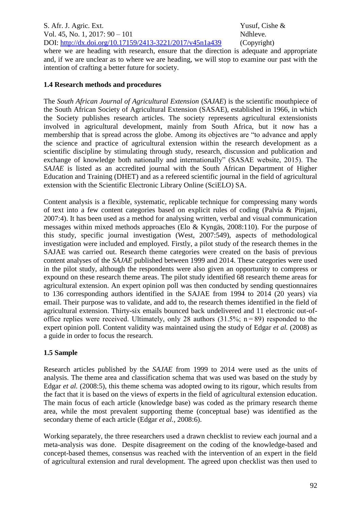where we are heading with research, ensure that the direction is adequate and appropriate and, if we are unclear as to where we are heading, we will stop to examine our past with the intention of crafting a better future for society.

# **1.4 Research methods and procedures**

The *South African Journal of Agricultural Extension* (*SAJAE*) is the scientific mouthpiece of the South African Society of Agricultural Extension (SASAE), established in 1966, in which the Society publishes research articles. The society represents agricultural extensionists involved in agricultural development, mainly from South Africa, but it now has a membership that is spread across the globe. Among its objectives are "to advance and apply the science and practice of agricultural extension within the research development as a scientific discipline by stimulating through study, research, discussion and publication and exchange of knowledge both nationally and internationally" (SASAE website, 2015). The *SAJAE* is listed as an accredited journal with the South African Department of Higher Education and Training (DHET) and as a refereed scientific journal in the field of agricultural extension with the Scientific Electronic Library Online (SciELO) SA.

Content analysis is a flexible, systematic, replicable technique for compressing many words of text into a few content categories based on explicit rules of coding (Palvia & Pinjani, 2007:4). It has been used as a method for analysing written, verbal and visual communication messages within mixed methods approaches (Elo & Kyngäs, 2008:110). For the purpose of this study, specific journal investigation (West, 2007:549), aspects of methodological investigation were included and employed. Firstly, a pilot study of the research themes in the SAJAE was carried out. Research theme categories were created on the basis of previous content analyses of the *SAJAE* published between 1999 and 2014. These categories were used in the pilot study, although the respondents were also given an opportunity to compress or expound on these research theme areas. The pilot study identified 68 research theme areas for agricultural extension. An expert opinion poll was then conducted by sending questionnaires to 136 corresponding authors identified in the SAJAE from 1994 to 2014 (20 years) via email. Their purpose was to validate, and add to, the research themes identified in the field of agricultural extension. Thirty-six emails bounced back undelivered and 11 electronic out-ofoffice replies were received. Ultimately, only 28 authors  $(31.5\%; n=89)$  responded to the expert opinion poll. Content validity was maintained using the study of Edgar *et al.* (2008) as a guide in order to focus the research.

# **1.5 Sample**

Research articles published by the *SAJAE* from 1999 to 2014 were used as the units of analysis. The theme area and classification schema that was used was based on the study by Edgar *et al.* (2008:5), this theme schema was adopted owing to its rigour, which results from the fact that it is based on the views of experts in the field of agricultural extension education. The main focus of each article (knowledge base) was coded as the primary research theme area, while the most prevalent supporting theme (conceptual base) was identified as the secondary theme of each article (Edgar *et al.,* 2008:6).

Working separately, the three researchers used a drawn checklist to review each journal and a meta-analysis was done. Despite disagreement on the coding of the knowledge-based and concept-based themes, consensus was reached with the intervention of an expert in the field of agricultural extension and rural development. The agreed upon checklist was then used to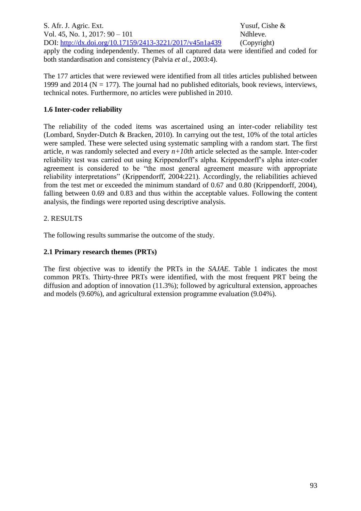S. Afr. J. Agric. Ext. Yusuf, Cishe & Vol. 45, No. 1, 2017: 90 – 101 Ndhleve. DOI: <http://dx.doi.org/10.17159/2413-3221/2017/v45n1a439> (Copyright) apply the coding independently. Themes of all captured data were identified and coded for both standardisation and consistency (Palvia *et al.*, 2003:4).

The 177 articles that were reviewed were identified from all titles articles published between 1999 and 2014 ( $N = 177$ ). The journal had no published editorials, book reviews, interviews, technical notes. Furthermore, no articles were published in 2010.

## **1.6 Inter-coder reliability**

The reliability of the coded items was ascertained using an inter-coder reliability test (Lombard, Snyder-Dutch & Bracken, 2010). In carrying out the test, 10% of the total articles were sampled. These were selected using systematic sampling with a random start. The first article, *n* was randomly selected and every *n+10th* article selected as the sample. Inter-coder reliability test was carried out using Krippendorff's alpha. Krippendorff's alpha inter-coder agreement is considered to be "the most general agreement measure with appropriate reliability interpretations" (Krippendorff, 2004:221). Accordingly, the reliabilities achieved from the test met or exceeded the minimum standard of 0.67 and 0.80 (Krippendorff, 2004), falling between 0.69 and 0.83 and thus within the acceptable values. Following the content analysis, the findings were reported using descriptive analysis.

## 2. RESULTS

The following results summarise the outcome of the study.

## **2.1 Primary research themes (PRTs)**

The first objective was to identify the PRTs in the *SAJAE.* Table 1 indicates the most common PRTs. Thirty-three PRTs were identified, with the most frequent PRT being the diffusion and adoption of innovation (11.3%); followed by agricultural extension, approaches and models (9.60%), and agricultural extension programme evaluation (9.04%).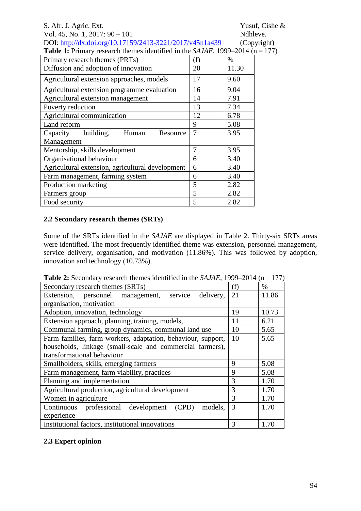| S. Afr. J. Agric. Ext.                                                                           |                |          | Yusuf, Cishe & |
|--------------------------------------------------------------------------------------------------|----------------|----------|----------------|
| Vol. 45, No. 1, 2017: $90 - 101$                                                                 |                | Ndhleve. |                |
| DOI: http://dx.doi.org/10.17159/2413-3221/2017/v45n1a439                                         |                |          | (Copyright)    |
| <b>Table 1:</b> Primary research themes identified in the <i>SAJAE</i> , 1999–2014 ( $n = 177$ ) |                |          |                |
| Primary research themes (PRTs)                                                                   | (f)            | $\%$     |                |
| Diffusion and adoption of innovation                                                             | 20             | 11.30    |                |
| Agricultural extension approaches, models                                                        | 17             | 9.60     |                |
| Agricultural extension programme evaluation                                                      | 16             | 9.04     |                |
| Agricultural extension management                                                                | 14             | 7.91     |                |
| Poverty reduction                                                                                | 13             | 7.34     |                |
| Agricultural communication                                                                       | 12             | 6.78     |                |
| Land reform                                                                                      | 9              | 5.08     |                |
| building,<br>Human<br>Capacity<br>Resource                                                       | $\overline{7}$ | 3.95     |                |
| Management                                                                                       |                |          |                |
| Mentorship, skills development                                                                   | $\overline{7}$ | 3.95     |                |
| Organisational behaviour                                                                         | 6              | 3.40     |                |
| Agricultural extension, agricultural development                                                 | 6              | 3.40     |                |
| Farm management, farming system                                                                  | 6              | 3.40     |                |
| Production marketing                                                                             | 5              | 2.82     |                |
| Farmers group                                                                                    | 5              | 2.82     |                |
| Food security                                                                                    | 5              | 2.82     |                |

## **2.2 Secondary research themes (SRTs)**

Some of the SRTs identified in the *SAJAE* are displayed in Table 2. Thirty-six SRTs areas were identified. The most frequently identified theme was extension, personnel management, service delivery, organisation, and motivation (11.86%). This was followed by adoption, innovation and technology (10.73%).

| <b>Table 2:</b> Secondary research themes identified in the <i>SAJAE</i> , 1999–2014 ( $n = 177$ ) |  |  |  |  |  |
|----------------------------------------------------------------------------------------------------|--|--|--|--|--|
|----------------------------------------------------------------------------------------------------|--|--|--|--|--|

| Secondary research themes (SRTs)                             | (f) | $\%$  |
|--------------------------------------------------------------|-----|-------|
| Extension, personnel management, service<br>delivery,        | 21  | 11.86 |
| organisation, motivation                                     |     |       |
| Adoption, innovation, technology                             | 19  | 10.73 |
| Extension approach, planning, training, models,              | 11  | 6.21  |
| Communal farming, group dynamics, communal land use          | 10  | 5.65  |
| Farm families, farm workers, adaptation, behaviour, support, | 10  | 5.65  |
| households, linkage (small-scale and commercial farmers),    |     |       |
| transformational behaviour                                   |     |       |
| Smallholders, skills, emerging farmers                       | 9   | 5.08  |
| Farm management, farm viability, practices                   | 9   | 5.08  |
| Planning and implementation                                  | 3   | 1.70  |
| Agricultural production, agricultural development            | 3   | 1.70  |
| Women in agriculture                                         | 3   | 1.70  |
| Continuous professional development<br>(CPD)<br>models.      | 3   | 1.70  |
| experience                                                   |     |       |
| Institutional factors, institutional innovations             | 3   | 1.70  |

## **2.3 Expert opinion**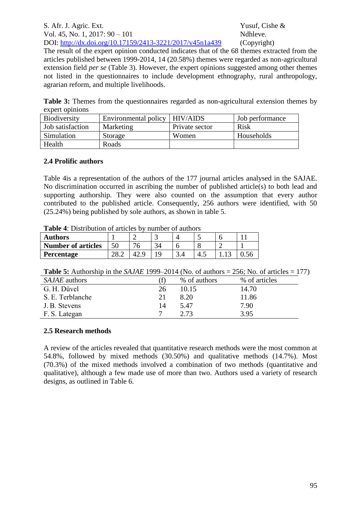The result of the expert opinion conducted indicates that of the 68 themes extracted from the articles published between 1999-2014, 14 (20.58%) themes were regarded as non-agricultural extension field *per se* (Table 3). However, the expert opinions suggested among other themes not listed in the questionnaires to include development ethnography, rural anthropology, agrarian reform, and multiple livelihoods.

**Table 3:** Themes from the questionnaires regarded as non-agricultural extension themes by expert opinions

| <b>Biodiversity</b> | Environmental policy | HIV/AIDS       | Job performance |
|---------------------|----------------------|----------------|-----------------|
| Job satisfaction    | Marketing            | Private sector | <b>Risk</b>     |
| Simulation          | Storage              | Women          | Households      |
| Health              | Roads                |                |                 |

## **2.4 Prolific authors**

Table 4is a representation of the authors of the 177 journal articles analysed in the SAJAE. No discrimination occurred in ascribing the number of published article(s) to both lead and supporting authorship. They were also counted on the assumption that every author contributed to the published article. Consequently, 256 authors were identified, with 50 (25.24%) being published by sole authors, as shown in table 5.

| <b>Table +.</b> Distribution of articles by number of authors |    |  |  |  |     |  |  |
|---------------------------------------------------------------|----|--|--|--|-----|--|--|
| <b>Authors</b>                                                |    |  |  |  |     |  |  |
| <b>Number of articles</b>                                     | 50 |  |  |  |     |  |  |
| <b>Percentage</b>                                             |    |  |  |  | 4.1 |  |  |

**Table 4**: Distribution of articles by number of authors

|                      | <b>Table 5:</b> Authorship in the <i>SAJAE</i> 1999–2014 (No. of authors = 256; No. of articles = 177) |  |  |  |
|----------------------|--------------------------------------------------------------------------------------------------------|--|--|--|
| $\alpha$ in $\alpha$ |                                                                                                        |  |  |  |

| <i>SAJAE</i> authors |    | % of authors | % of articles |
|----------------------|----|--------------|---------------|
| G. H. Düvel          | 26 | 10.15        | 14.70         |
| S. E. Terblanche     | 21 | 8.20         | 11.86         |
| J. B. Stevens        | 14 | 5.47         | 7.90          |
| F. S. Lategan        |    | 2 73         | 3.95          |

## **2.5 Research methods**

A review of the articles revealed that quantitative research methods were the most common at 54.8%, followed by mixed methods (30.50%) and qualitative methods (14.7%). Most (70.3%) of the mixed methods involved a combination of two methods (quantitative and qualitative), although a few made use of more than two. Authors used a variety of research designs, as outlined in Table 6.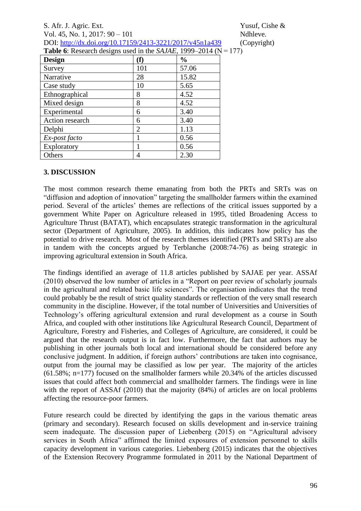| S. Afr. J. Agric. Ext.                                                              | Yusuf, Cishe $\&$ |
|-------------------------------------------------------------------------------------|-------------------|
| Vol. 45, No. 1, 2017: $90 - 101$                                                    | Ndhleve.          |
| DOI: http://dx.doi.org/10.17159/2413-3221/2017/v45n1a439                            | (Copyright)       |
| <b>Table 6:</b> Research designs used in the <i>SAJAE</i> , 1999–2014 ( $N = 177$ ) |                   |

| $\frac{1}{2}$ of respect on Good the cool of the stronger $\frac{1}{2}$ |                |               |
|-------------------------------------------------------------------------|----------------|---------------|
| <b>Design</b>                                                           | (f)            | $\frac{0}{0}$ |
| Survey                                                                  | 101            | 57.06         |
| Narrative                                                               | 28             | 15.82         |
| Case study                                                              | 10             | 5.65          |
| Ethnographical                                                          | 8              | 4.52          |
| Mixed design                                                            | 8              | 4.52          |
| Experimental                                                            | 6              | 3.40          |
| Action research                                                         | 6              | 3.40          |
| Delphi                                                                  | $\overline{2}$ | 1.13          |
| Ex-post facto                                                           | 1              | 0.56          |
| Exploratory                                                             |                | 0.56          |
| Others                                                                  | 4              | 2.30          |

## **3. DISCUSSION**

The most common research theme emanating from both the PRTs and SRTs was on "diffusion and adoption of innovation" targeting the smallholder farmers within the examined period. Several of the articles' themes are reflections of the critical issues supported by a government White Paper on Agriculture released in 1995, titled Broadening Access to Agriculture Thrust (BATAT), which encapsulates strategic transformation in the agricultural sector (Department of Agriculture, 2005). In addition, this indicates how policy has the potential to drive research. Most of the research themes identified (PRTs and SRTs) are also in tandem with the concepts argued by Terblanche (2008:74-76) as being strategic in improving agricultural extension in South Africa.

The findings identified an average of 11.8 articles published by SAJAE per year. ASSAf (2010) observed the low number of articles in a "Report on peer review of scholarly journals in the agricultural and related basic life sciences". The organisation indicates that the trend could probably be the result of strict quality standards or reflection of the very small research community in the discipline. However, if the total number of Universities and Universities of Technology's offering agricultural extension and rural development as a course in South Africa, and coupled with other institutions like Agricultural Research Council, Department of Agriculture, Forestry and Fisheries, and Colleges of Agriculture, are considered, it could be argued that the research output is in fact low. Furthermore, the fact that authors may be publishing in other journals both local and international should be considered before any conclusive judgment. In addition, if foreign authors' contributions are taken into cognisance, output from the journal may be classified as low per year. The majority of the articles (61.58%; n=177) focused on the smallholder farmers while 20.34% of the articles discussed issues that could affect both commercial and smallholder farmers. The findings were in line with the report of ASSAf (2010) that the majority (84%) of articles are on local problems affecting the resource-poor farmers.

Future research could be directed by identifying the gaps in the various thematic areas (primary and secondary). Research focused on skills development and in-service training seem inadequate. The discussion paper of Liebenberg (2015) on "Agricultural advisory services in South Africa" affirmed the limited exposures of extension personnel to skills capacity development in various categories. Liebenberg (2015) indicates that the objectives of the Extension Recovery Programme formulated in 2011 by the National Department of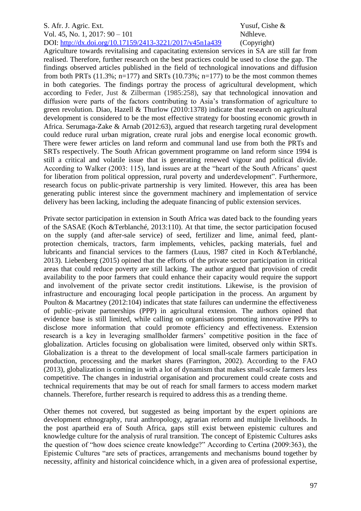Agriculture towards revitalising and capacitating extension services in SA are still far from realised. Therefore, further research on the best practices could be used to close the gap. The findings observed articles published in the field of technological innovations and diffusion from both PRTs  $(11.3\%; n=177)$  and SRTs  $(10.73\%; n=177)$  to be the most common themes in both categories. The findings portray the process of agricultural development, which according to Feder, Just & Zilberman (1985:258), say that technological innovation and diffusion were parts of the factors contributing to Asia's transformation of agriculture to green revolution. Diao, Hazell & Thurlow (2010:1378) indicate that research on agricultural development is considered to be the most effective strategy for boosting economic growth in Africa. Serumaga-Zake & Arnab (2012:63), argued that research targeting rural development could reduce rural urban migration, create rural jobs and energise local economic growth. There were fewer articles on land reform and communal land use from both the PRTs and SRTs respectively. The South African government programme on land reform since 1994 is still a critical and volatile issue that is generating renewed vigour and political divide. According to Walker (2003: 115), land issues are at the "heart of the South Africans' quest for liberation from political oppression, rural poverty and underdevelopment". Furthermore, research focus on public-private partnership is very limited. However, this area has been generating public interest since the government machinery and implementation of service delivery has been lacking, including the adequate financing of public extension services.

Private sector participation in extension in South Africa was dated back to the founding years of the SASAE (Koch &Terblanché, 2013:110). At that time, the sector participation focused on the supply (and after-sale service) of seed, fertilizer and lime, animal feed, plantprotection chemicals, tractors, farm implements, vehicles, packing materials, fuel and lubricants and financial services to the farmers (Luus, 1987 cited in Koch &Terblanché, 2013). Liebenberg (2015) opined that the efforts of the private sector participation in critical areas that could reduce poverty are still lacking. The author argued that provision of credit availability to the poor farmers that could enhance their capacity would require the support and involvement of the private sector credit institutions. Likewise, is the provision of infrastructure and encouraging local people participation in the process. An argument by Poulton & Macartney (2012:104) indicates that state failures can undermine the effectiveness of public–private partnerships (PPP) in agricultural extension. The authors opined that evidence base is still limited, while calling on organisations promoting innovative PPPs to disclose more information that could promote efficiency and effectiveness. Extension research is a key in leveraging smallholder farmers' competitive position in the face of globalization. Articles focusing on globalisation were limited, observed only within SRTs. Globalization is a threat to the development of local small-scale farmers participation in production, processing and the market shares (Farrington, 2002). According to the FAO (2013), globalization is coming in with a lot of dynamism that makes small-scale farmers less competitive. The changes in industrial organisation and procurement could create costs and technical requirements that may be out of reach for small farmers to access modern market channels. Therefore, further research is required to address this as a trending theme.

Other themes not covered, but suggested as being important by the expert opinions are development ethnography, rural anthropology, agrarian reform and multiple livelihoods. In the post apartheid era of South Africa, gaps still exist between epistemic cultures and knowledge culture for the analysis of rural transition. The concept of Epistemic Cultures asks the question of "how does science create knowledge?" According to Certina (2009:363), the Epistemic Cultures "are sets of practices, arrangements and mechanisms bound together by necessity, affinity and historical coincidence which, in a given area of professional expertise,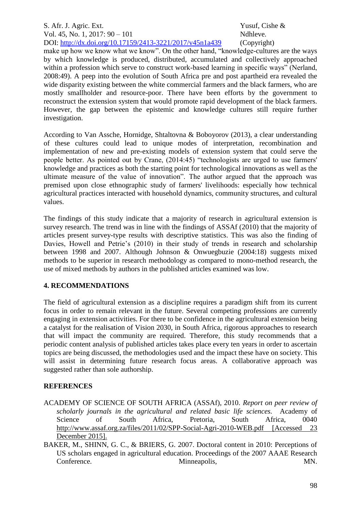make up how we know what we know". On the other hand, "knowledge-cultures are the ways by which knowledge is produced, distributed, accumulated and collectively approached within a profession which serve to construct work-based learning in specific ways" (Nerland, 2008:49). A peep into the evolution of South Africa pre and post apartheid era revealed the wide disparity existing between the white commercial farmers and the black farmers, who are mostly smallholder and resource-poor. There have been efforts by the government to reconstruct the extension system that would promote rapid development of the black farmers. However, the gap between the epistemic and knowledge cultures still require further investigation.

According to Van Assche, Hornidge, Shtaltovna & Boboyorov (2013), a clear understanding of these cultures could lead to unique modes of interpretation, recombination and implementation of new and pre-existing models of extension system that could serve the people better. As pointed out by Crane, (2014:45) "technologists are urged to use farmers' knowledge and practices as both the starting point for technological innovations as well as the ultimate measure of the value of innovation". The author argued that the approach was premised upon close ethnographic study of farmers' livelihoods: especially how technical agricultural practices interacted with household dynamics, community structures, and cultural values.

The findings of this study indicate that a majority of research in agricultural extension is survey research. The trend was in line with the findings of ASSAf (2010) that the majority of articles present survey-type results with descriptive statistics. This was also the finding of Davies, Howell and Petrie's (2010) in their study of trends in research and scholarship between 1998 and 2007. Although Johnson & Onwuegbuzie (2004:18) suggests mixed methods to be superior in research methodology as compared to mono-method research, the use of mixed methods by authors in the published articles examined was low.

# **4. RECOMMENDATIONS**

The field of agricultural extension as a discipline requires a paradigm shift from its current focus in order to remain relevant in the future. Several competing professions are currently engaging in extension activities. For there to be confidence in the agricultural extension being a catalyst for the realisation of Vision 2030, in South Africa, rigorous approaches to research that will impact the community are required. Therefore, this study recommends that a periodic content analysis of published articles takes place every ten years in order to ascertain topics are being discussed, the methodologies used and the impact these have on society. This will assist in determining future research focus areas. A collaborative approach was suggested rather than sole authorship.

# **REFERENCES**

- ACADEMY OF SCIENCE OF SOUTH AFRICA (ASSAf), 2010. *Report on peer review of scholarly journals in the agricultural and related basic life sciences.* Academy of Science of South Africa, Pretoria, South Africa, 0040 <http://www.assaf.org.za/files/2011/02/SPP-Social-Agri-2010-WEB.pdf> [Accessed 23 December 2015].
- BAKER, M., SHINN, G. C., & BRIERS, G. 2007. Doctoral content in 2010: Perceptions of US scholars engaged in agricultural education. Proceedings of the 2007 AAAE Research Conference. Minneapolis, MN.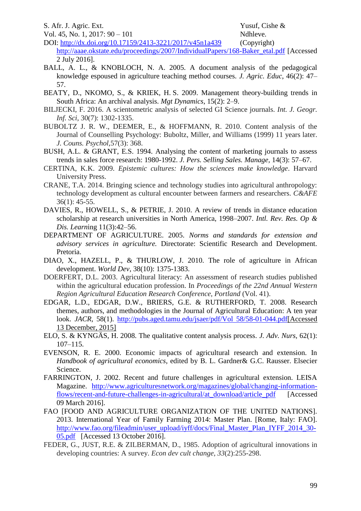S. Afr. J. Agric. Ext. Yusuf, Cishe &

Vol. 45, No. 1, 2017: 90 – 101 Ndhleve.

- DOI: <http://dx.doi.org/10.17159/2413-3221/2017/v45n1a439> (Copyright) [http://aaae.okstate.edu/proceedings/2007/IndividualPapers/168-Baker\\_etal.pdf](http://aaae.okstate.edu/proceedings/2007/IndividualPapers/168-Baker_etal.pdf) [Accessed 2 July 2016].
- BALL, A. L., & KNOBLOCH, N. A. 2005. A document analysis of the pedagogical knowledge espoused in agriculture teaching method courses. *J. Agric. Educ*, 46(2): 47– 57.
- BEATY, D., NKOMO, S., & KRIEK, H. S. 2009. Management theory-building trends in South Africa: An archival analysis. *Mgt Dynamics*, 15(2): 2–9.
- BILJECKI, F. 2016. A scientometric analysis of selected GI Science journals. *Int. J. Geogr. Inf. Sci*, 30(7): 1302-1335.
- BUBOLTZ J. R. W., DEEMER, E., & HOFFMANN, R. 2010. Content analysis of the Journal of Counselling Psychology: Buboltz, Miller, and Williams (1999) 11 years later. *J. Couns. Psychol,*57(3): 368.
- BUSH, A.L. & GRANT, E.S. 1994. Analysing the content of marketing journals to assess trends in sales force research: 1980-1992. *J. Pers. Selling Sales. Manage,* 14(3): 57–67.
- CERTINA, K.K. 2009. *Epistemic cultures: How the sciences make knowledge*. Harvard University Press.
- CRANE, T.A. 2014. Bringing science and technology studies into agricultural anthropology: technology development as cultural encounter between farmers and researchers. *C&AFE* 36(1): 45-55.
- DAVIES, R., HOWELL, S., & PETRIE, J. 2010. A review of trends in distance education scholarship at research universities in North America, 1998–2007. *Intl. Rev. Res. Op & Dis. Learn*ing 11(3):42–56.
- DEPARTMENT OF AGRICULTURE. 2005. *Norms and standards for extension and advisory services in agriculture.* Directorate: Scientific Research and Development. Pretoria.
- DIAO, X., HAZELL, P., & THURLOW, J. 2010. The role of agriculture in African development. *World Dev*, 38(10): 1375-1383.
- DOERFERT, D.L. 2003. Agricultural literacy: An assessment of research studies published within the agricultural education profession. In *Proceedings of the 22nd Annual Western Region Agricultural Education Research Conference, Portland* (Vol. 41).
- EDGAR, L.D., EDGAR, D.W., BRIERS, G.E. & RUTHERFORD, T. 2008. Research themes, authors, and methodologies in the Journal of Agricultural Education: A ten year look. *JACR*, 58(1). [http://pubs.aged.tamu.edu/jsaer/pdf/Vol 58/58-01-044.pdf\[](http://pubs.aged.tamu.edu/jsaer/pdf/Vol%2058/58-01-044.pdf)Accessed 13 December, 2015]
- ELO, S. & KYNGÄS, H. 2008. The qualitative content analysis process. *J. Adv. Nurs,* 62(1): 107–115.
- EVENSON, R. E. 2000. Economic impacts of agricultural research and extension. In *Handbook of agricultural economics*, edited by B. L. Gardner& G.C. Rausser. Elsecier Science.
- FARRINGTON, J. 2002. Recent and future challenges in agricultural extension. LEISA Magazine. [http://www.agriculturesnetwork.org/magazines/global/changing-information](http://www.agriculturesnetwork.org/magazines/global/changing-information-flows/recent-and-future-challenges-in-agricultural/at_download/article_pdf)[flows/recent-and-future-challenges-in-agricultural/at\\_download/article\\_pdf](http://www.agriculturesnetwork.org/magazines/global/changing-information-flows/recent-and-future-challenges-in-agricultural/at_download/article_pdf) [Accessed 09 March 2016].
- FAO [FOOD AND AGRICULTURE ORGANIZATION OF THE UNITED NATIONS]. 2013. International Year of Family Farming 2014: Master Plan. [Rome, Italy: FAO]. [http://www.fao.org/fileadmin/user\\_upload/iyff/docs/Final\\_Master\\_Plan\\_IYFF\\_2014\\_30-](http://www.fao.org/fileadmin/user_upload/iyff/docs/Final_Master_Plan_IYFF_2014_30-05.pdf) [05.pdf](http://www.fao.org/fileadmin/user_upload/iyff/docs/Final_Master_Plan_IYFF_2014_30-05.pdf) [Accessed 13 October 2016].
- FEDER, G., JUST, R.E. & ZILBERMAN, D., 1985. Adoption of agricultural innovations in developing countries: A survey. *Econ dev cult change*, *33*(2):255-298.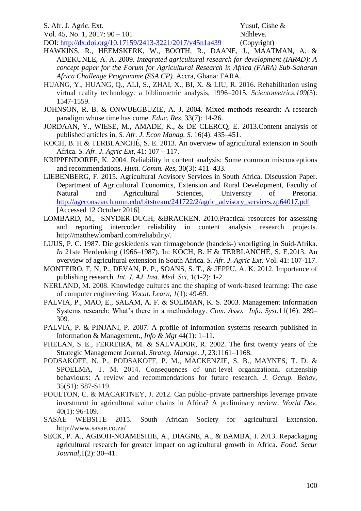S. Afr. J. Agric. Ext. Yusuf, Cishe &

Vol. 45, No. 1, 2017: 90 – 101 Ndhleve.

DOI: <http://dx.doi.org/10.17159/2413-3221/2017/v45n1a439> (Copyright) HAWKINS, R., HEEMSKERK, W., BOOTH, R., DAANE, J., MAATMAN, A. & ADEKUNLE, A. A. 2009. *Integrated agricultural research for development (IAR4D): A concept paper for the Forum for Agricultural Research in Africa (FARA) Sub-Saharan Africa Challenge Programme (SSA CP).* Accra, Ghana: FARA.

- HUANG, Y., HUANG, Q., ALI, S., ZHAI, X., BI, X. & LIU, R. 2016. Rehabilitation using virtual reality technology: a bibliometric analysis, 1996–2015. *Scientometrics*,*109*(3): 1547-1559.
- JOHNSON, R. B. & ONWUEGBUZIE, A. J. 2004. Mixed methods research: A research paradigm whose time has come. *Educ. Res*, 33(7): 14-26.
- JORDAAN, Y., WIESE, M., AMADE, K., & DE CLERCQ, E. 2013.Content analysis of published articles in, *S. Afr. J. Econ Manag. S.* 16(4): 435–451.
- KOCH, B. H.& TERBLANCHÉ, S. E. 2013. An overview of agricultural extension in South Africa. *S. Afr. J. Agric Ext*, 41: 107 – 117.
- KRIPPENDORFF, K. 2004. Reliability in content analysis: Some common misconceptions and recommendations. *Hum. Comm. Res*, 30(3): 411–433.
- LIEBENBERG, F. 2015. Agricultural Advisory Services in South Africa. Discussion Paper. Department of Agricultural Economics, Extension and Rural Development, Faculty of Natural and Agricultural Sciences, University of Pretoria. [http://ageconsearch.umn.edu/bitstream/241722/2/agric\\_advisory\\_services.zp64017.pdf](http://ageconsearch.umn.edu/bitstream/241722/2/agric_advisory_services.zp64017.pdf)  [Accessed 12 October 2016]
- [LOMBARD,](mailto:lombard@temple.edu) M., [SNYDER-DUCH,](mailto:jsduch@carlow.edu) [&BRACKEN.](mailto:c.bracken@csuohio.edu) 2010.Practical resources for assessing and reporting intercoder reliability in content analysis research projects. http://matthewlombard.com/reliability/.
- LUUS, P. C. 1987. Die geskiedenis van firmagebonde (handels-) voorligting in Suid-Afrika. *In* 21ste Herdenking (1966–1987). In: KOCH, B. H.& TERBLANCHÉ, S. E.2013. An overview of agricultural extension in South Africa. *S. Afr. J. Agric Ext*. Vol. 41: 107-117.
- MONTEIRO, F, N, P., DEVAN, P. P., SOANS, S. T., & JEPPU, A. K. 2012. Importance of publishing research. *Int. J. AJ. Inst. Med. Sci,* 1(1-2): 1-2.
- NERLAND, M. 2008. Knowledge cultures and the shaping of work-based learning: The case of computer engineering. *Vocat. Learn*, *1*(1): 49-69.
- PALVIA, P., MAO, E., SALAM, A. F. & SOLIMAN, K. S. 2003. Management Information Systems research: What's there in a methodology. *Com. Asso. Info. Syst.*11(16): 289– 309.
- PALVIA, P. & PINJANI, P. 2007. A profile of information systems research published in Information & Management., *Info & Mgt* 44(1): 1–11.
- PHELAN, S. E., FERREIRA, M. & SALVADOR, R. 2002. The first twenty years of the Strategic Management Journal. *Strateg. Manage. J*, 23:1161–1168.
- PODSAKOFF, N. P., PODSAKOFF, P. M., MACKENZIE, S. B., MAYNES, T. D. & SPOELMA, T. M. 2014. Consequences of unit-level organizational citizenship behaviours: A review and recommendations for future research. *J. Occup. Behav,* 35(S1): S87-S119.
- POULTON, C. & MACARTNEY, J. 2012. Can public–private partnerships leverage private investment in agricultural value chains in Africa? A preliminary review. *World Dev.*  40(1): 96-109.
- SASAE WEBSITE 2015. South African Society for agricultural Extension. http://www.sasae.co.za/
- SECK, P. A., AGBOH-NOAMESHIE, A., DIAGNE, A., & BAMBA, I. 2013. Repackaging agricultural research for greater impact on agricultural growth in Africa. *Food. Secur Journal*,1(2): 30–41.